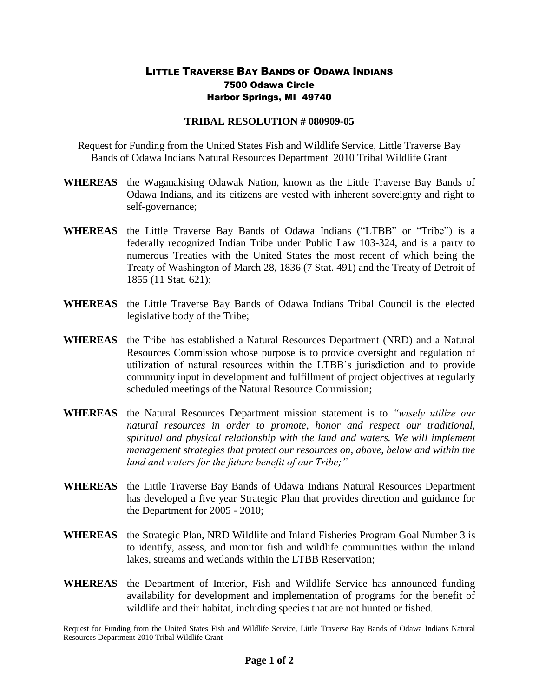## LITTLE TRAVERSE BAY BANDS OF ODAWA INDIANS 7500 Odawa Circle Harbor Springs, MI 49740

## **TRIBAL RESOLUTION # 080909-05**

Request for Funding from the United States Fish and Wildlife Service, Little Traverse Bay Bands of Odawa Indians Natural Resources Department 2010 Tribal Wildlife Grant

- **WHEREAS** the Waganakising Odawak Nation, known as the Little Traverse Bay Bands of Odawa Indians, and its citizens are vested with inherent sovereignty and right to self-governance;
- **WHEREAS** the Little Traverse Bay Bands of Odawa Indians ("LTBB" or "Tribe") is a federally recognized Indian Tribe under Public Law 103-324, and is a party to numerous Treaties with the United States the most recent of which being the Treaty of Washington of March 28, 1836 (7 Stat. 491) and the Treaty of Detroit of 1855 (11 Stat. 621);
- **WHEREAS** the Little Traverse Bay Bands of Odawa Indians Tribal Council is the elected legislative body of the Tribe;
- **WHEREAS** the Tribe has established a Natural Resources Department (NRD) and a Natural Resources Commission whose purpose is to provide oversight and regulation of utilization of natural resources within the LTBB's jurisdiction and to provide community input in development and fulfillment of project objectives at regularly scheduled meetings of the Natural Resource Commission;
- **WHEREAS** the Natural Resources Department mission statement is to *"wisely utilize our natural resources in order to promote, honor and respect our traditional, spiritual and physical relationship with the land and waters. We will implement management strategies that protect our resources on, above, below and within the land and waters for the future benefit of our Tribe;"*
- **WHEREAS** the Little Traverse Bay Bands of Odawa Indians Natural Resources Department has developed a five year Strategic Plan that provides direction and guidance for the Department for 2005 - 2010;
- **WHEREAS** the Strategic Plan, NRD Wildlife and Inland Fisheries Program Goal Number 3 is to identify, assess, and monitor fish and wildlife communities within the inland lakes, streams and wetlands within the LTBB Reservation;
- **WHEREAS** the Department of Interior, Fish and Wildlife Service has announced funding availability for development and implementation of programs for the benefit of wildlife and their habitat, including species that are not hunted or fished.

Request for Funding from the United States Fish and Wildlife Service, Little Traverse Bay Bands of Odawa Indians Natural Resources Department 2010 Tribal Wildlife Grant